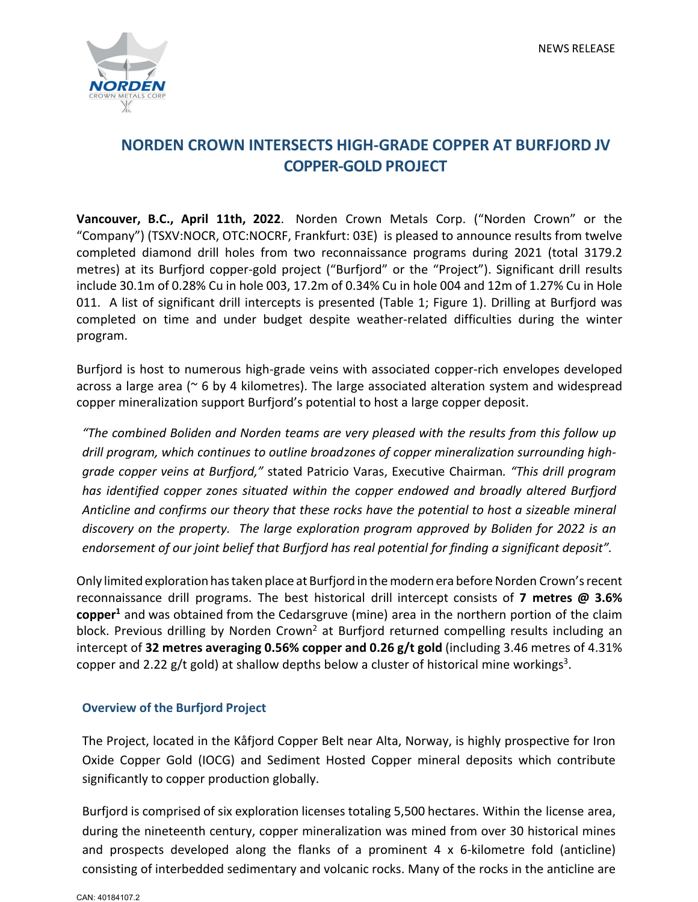

# **NORDEN CROWN INTERSECTS HIGH-GRADE COPPER AT BURFJORD JV COPPER-GOLD PROJECT**

**Vancouver, B.C., April 11th, 2022**. Norden Crown Metals Corp. ("Norden Crown" or the "Company") (TSXV:NOCR, OTC:NOCRF, Frankfurt: 03E) is pleased to announce results from twelve completed diamond drill holes from two reconnaissance programs during 2021 (total 3179.2 metres) at its Burfjord copper-gold project ("Burfjord" or the "Project"). Significant drill results include 30.1m of 0.28% Cu in hole 003, 17.2m of 0.34% Cu in hole 004 and 12m of 1.27% Cu in Hole 011. A list of significant drill intercepts is presented (Table 1; Figure 1). Drilling at Burfjord was completed on time and under budget despite weather-related difficulties during the winter program.

Burfjord is host to numerous high-grade veins with associated copper-rich envelopes developed across a large area (~ 6 by 4 kilometres). The large associated alteration system and widespread copper mineralization support Burfjord's potential to host a large copper deposit.

*"The combined Boliden and Norden teams are very pleased with the results from this follow up*  drill program, which continues to outline broadzones of copper mineralization surrounding high*grade copper veins at Burfjord,"* stated Patricio Varas, Executive Chairman*. "This drill program has identified copper zones situated within the copper endowed and broadly altered Burfjord Anticline and confirms our theory that these rocks have the potential to host a sizeable mineral discovery on the property. The large exploration program approved by Boliden for 2022 is an endorsement of our joint belief that Burfjord has real potential for finding a significant deposit".*

Only limited exploration has taken place at Burfjord in the modern era before Norden Crown's recent reconnaissance drill programs. The best historical drill intercept consists of **7 metres @ 3.6% copper1** and was obtained from the Cedarsgruve (mine) area in the northern portion of the claim block. Previous drilling by Norden Crown<sup>2</sup> at Burfjord returned compelling results including an intercept of **32 metres averaging 0.56% copper and 0.26 g/t gold** (including 3.46 metres of 4.31% copper and 2.22 g/t gold) at shallow depths below a cluster of historical mine workings<sup>3</sup>.

## **Overview of the Burfjord Project**

The Project, located in the Kåfjord Copper Belt near Alta, Norway, is highly prospective for Iron Oxide Copper Gold (IOCG) and Sediment Hosted Copper mineral deposits which contribute significantly to copper production globally.

Burfjord is comprised of six exploration licenses totaling 5,500 hectares. Within the license area, during the nineteenth century, copper mineralization was mined from over 30 historical mines and prospects developed along the flanks of a prominent 4  $\times$  6-kilometre fold (anticline) consisting of interbedded sedimentary and volcanic rocks. Many of the rocks in the anticline are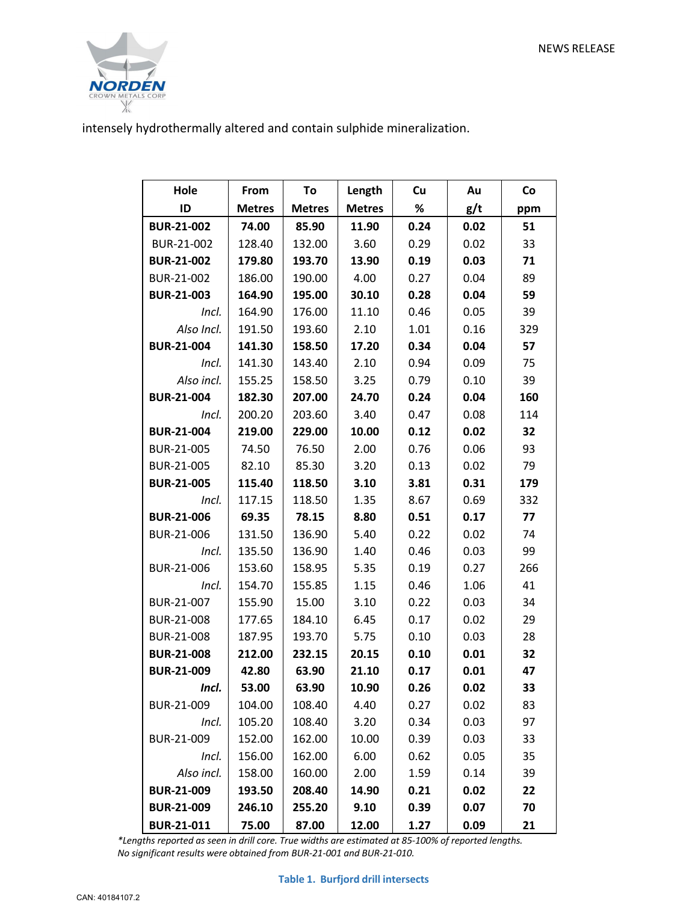

intensely hydrothermally altered and contain sulphide mineralization.

| Hole              | From          | To            | Length        | Cu   | Au   | Co  |
|-------------------|---------------|---------------|---------------|------|------|-----|
| ID                | <b>Metres</b> | <b>Metres</b> | <b>Metres</b> | %    | g/t  | ppm |
| <b>BUR-21-002</b> | 74.00         | 85.90         | 11.90         | 0.24 | 0.02 | 51  |
| BUR-21-002        | 128.40        | 132.00        | 3.60          | 0.29 | 0.02 | 33  |
| <b>BUR-21-002</b> | 179.80        | 193.70        | 13.90         | 0.19 | 0.03 | 71  |
| BUR-21-002        | 186.00        | 190.00        | 4.00          | 0.27 | 0.04 | 89  |
| <b>BUR-21-003</b> | 164.90        | 195.00        | 30.10         | 0.28 | 0.04 | 59  |
| Incl.             | 164.90        | 176.00        | 11.10         | 0.46 | 0.05 | 39  |
| Also Incl.        | 191.50        | 193.60        | 2.10          | 1.01 | 0.16 | 329 |
| <b>BUR-21-004</b> | 141.30        | 158.50        | 17.20         | 0.34 | 0.04 | 57  |
| Incl.             | 141.30        | 143.40        | 2.10          | 0.94 | 0.09 | 75  |
| Also incl.        | 155.25        | 158.50        | 3.25          | 0.79 | 0.10 | 39  |
| <b>BUR-21-004</b> | 182.30        | 207.00        | 24.70         | 0.24 | 0.04 | 160 |
| Incl.             | 200.20        | 203.60        | 3.40          | 0.47 | 0.08 | 114 |
| <b>BUR-21-004</b> | 219.00        | 229.00        | 10.00         | 0.12 | 0.02 | 32  |
| BUR-21-005        | 74.50         | 76.50         | 2.00          | 0.76 | 0.06 | 93  |
| BUR-21-005        | 82.10         | 85.30         | 3.20          | 0.13 | 0.02 | 79  |
| <b>BUR-21-005</b> | 115.40        | 118.50        | 3.10          | 3.81 | 0.31 | 179 |
| Incl.             | 117.15        | 118.50        | 1.35          | 8.67 | 0.69 | 332 |
| <b>BUR-21-006</b> | 69.35         | 78.15         | 8.80          | 0.51 | 0.17 | 77  |
| BUR-21-006        | 131.50        | 136.90        | 5.40          | 0.22 | 0.02 | 74  |
| Incl.             | 135.50        | 136.90        | 1.40          | 0.46 | 0.03 | 99  |
| BUR-21-006        | 153.60        | 158.95        | 5.35          | 0.19 | 0.27 | 266 |
| Incl.             | 154.70        | 155.85        | 1.15          | 0.46 | 1.06 | 41  |
| BUR-21-007        | 155.90        | 15.00         | 3.10          | 0.22 | 0.03 | 34  |
| BUR-21-008        | 177.65        | 184.10        | 6.45          | 0.17 | 0.02 | 29  |
| BUR-21-008        | 187.95        | 193.70        | 5.75          | 0.10 | 0.03 | 28  |
| <b>BUR-21-008</b> | 212.00        | 232.15        | 20.15         | 0.10 | 0.01 | 32  |
| <b>BUR-21-009</b> | 42.80         | 63.90         | 21.10         | 0.17 | 0.01 | 47  |
| Incl.             | 53.00         | 63.90         | 10.90         | 0.26 | 0.02 | 33  |
| BUR-21-009        | 104.00        | 108.40        | 4.40          | 0.27 | 0.02 | 83  |
| Incl.             | 105.20        | 108.40        | 3.20          | 0.34 | 0.03 | 97  |
| BUR-21-009        | 152.00        | 162.00        | 10.00         | 0.39 | 0.03 | 33  |
| Incl.             | 156.00        | 162.00        | 6.00          | 0.62 | 0.05 | 35  |
| Also incl.        | 158.00        | 160.00        | 2.00          | 1.59 | 0.14 | 39  |
| <b>BUR-21-009</b> | 193.50        | 208.40        | 14.90         | 0.21 | 0.02 | 22  |
| <b>BUR-21-009</b> | 246.10        | 255.20        | 9.10          | 0.39 | 0.07 | 70  |
| <b>BUR-21-011</b> | 75.00         | 87.00         | 12.00         | 1.27 | 0.09 | 21  |

*\*Lengths reported as seen in drill core. True widths are estimated at 85-100% of reported lengths. No significant results were obtained from BUR-21-001 and BUR-21-010.*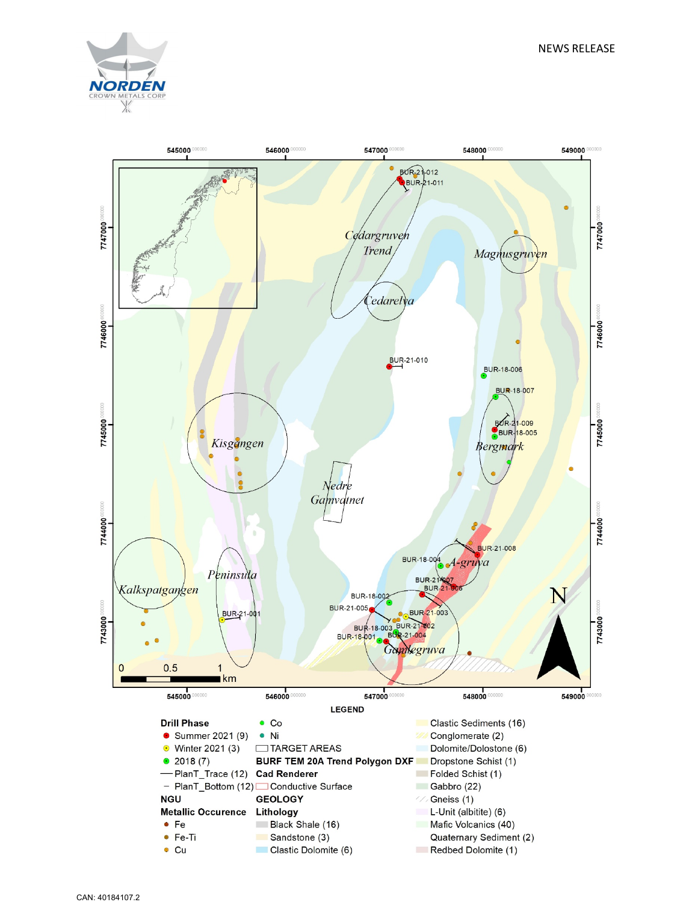

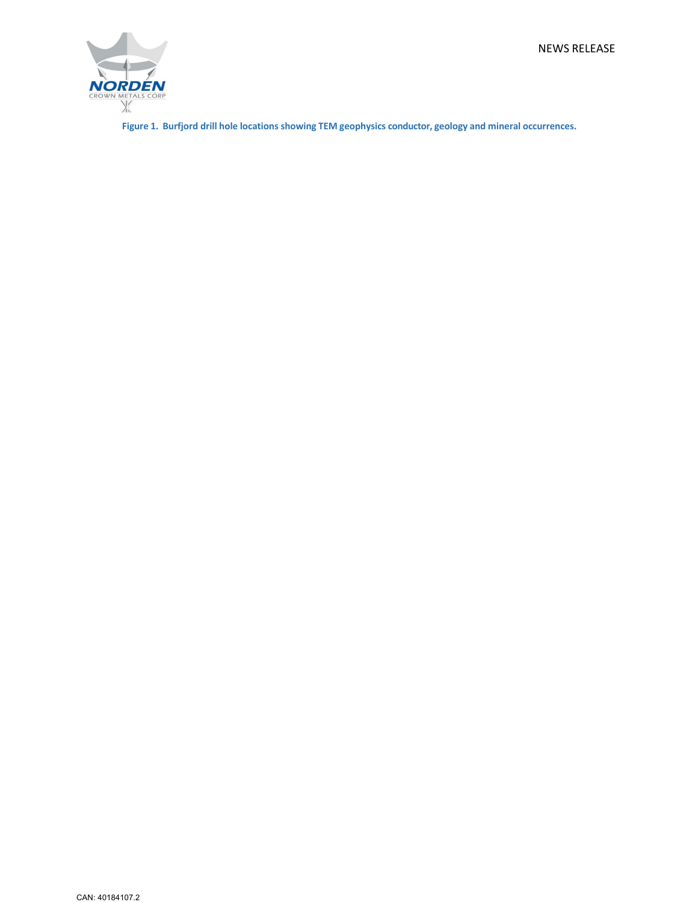NEWS RELEASE



**Figure 1. Burfjord drill hole locations showing TEM geophysics conductor, geology and mineral occurrences.**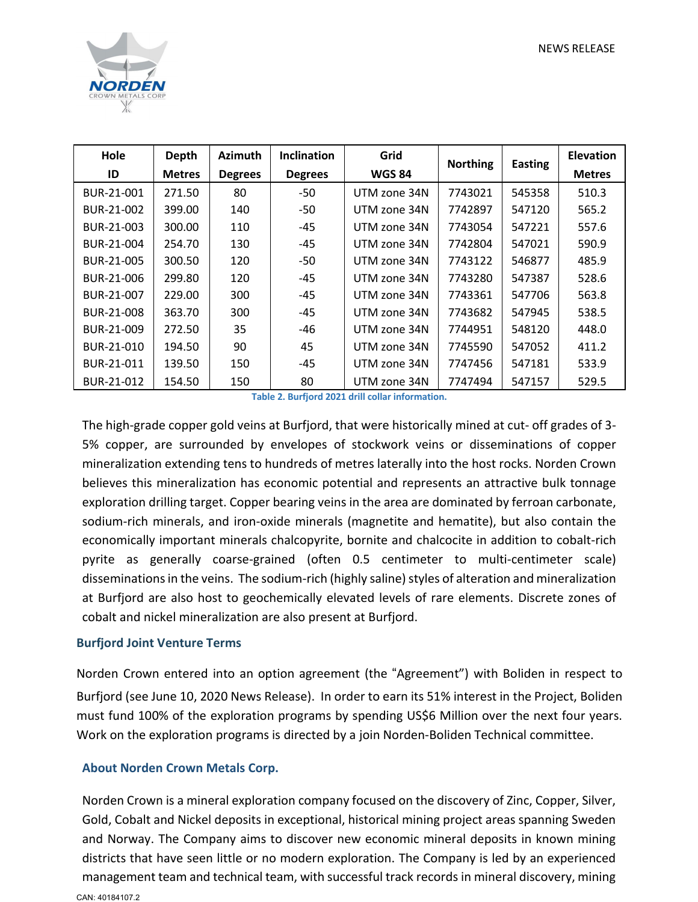

| Hole       | <b>Depth</b>  | <b>Azimuth</b> | <b>Inclination</b> | Grid<br><b>Northing</b> |         | <b>Easting</b> | <b>Elevation</b> |
|------------|---------------|----------------|--------------------|-------------------------|---------|----------------|------------------|
| ID         | <b>Metres</b> | <b>Degrees</b> | <b>Degrees</b>     | <b>WGS 84</b>           |         |                | <b>Metres</b>    |
| BUR-21-001 | 271.50        | 80             | -50                | UTM zone 34N            | 7743021 | 545358         | 510.3            |
| BUR-21-002 | 399.00        | 140            | $-50$              | UTM zone 34N            | 7742897 | 547120         | 565.2            |
| BUR-21-003 | 300.00        | 110            | $-45$              | UTM zone 34N            | 7743054 | 547221         | 557.6            |
| BUR-21-004 | 254.70        | 130            | $-45$              | UTM zone 34N            | 7742804 | 547021         | 590.9            |
| BUR-21-005 | 300.50        | 120            | $-50$              | UTM zone 34N            | 7743122 | 546877         | 485.9            |
| BUR-21-006 | 299.80        | 120            | $-45$              | UTM zone 34N            | 7743280 | 547387         | 528.6            |
| BUR-21-007 | 229.00        | 300            | $-45$              | UTM zone 34N            | 7743361 | 547706         | 563.8            |
| BUR-21-008 | 363.70        | 300            | $-45$              | UTM zone 34N            | 7743682 | 547945         | 538.5            |
| BUR-21-009 | 272.50        | 35             | -46                | UTM zone 34N            | 7744951 | 548120         | 448.0            |
| BUR-21-010 | 194.50        | 90             | 45                 | UTM zone 34N            | 7745590 | 547052         | 411.2            |
| BUR-21-011 | 139.50        | 150            | -45                | UTM zone 34N            | 7747456 | 547181         | 533.9            |
| BUR-21-012 | 154.50        | 150            | 80                 | UTM zone 34N            | 7747494 | 547157         | 529.5            |

**Table 2. Burfjord 2021 drill collar information.**

The high-grade copper gold veins at Burfjord, that were historically mined at cut- off grades of 3- 5% copper, are surrounded by envelopes of stockwork veins or disseminations of copper mineralization extending tens to hundreds of metres laterally into the host rocks. Norden Crown believes this mineralization has economic potential and represents an attractive bulk tonnage exploration drilling target. Copper bearing veins in the area are dominated by ferroan carbonate, sodium-rich minerals, and iron-oxide minerals (magnetite and hematite), but also contain the economically important minerals chalcopyrite, bornite and chalcocite in addition to cobalt-rich pyrite as generally coarse-grained (often 0.5 centimeter to multi-centimeter scale) disseminations in the veins. The sodium-rich (highly saline) styles of alteration and mineralization at Burfjord are also host to geochemically elevated levels of rare elements. Discrete zones of cobalt and nickel mineralization are also present at Burfjord.

#### **Burfjord Joint Venture Terms**

Norden Crown entered into an option agreement (the "Agreement") with Boliden in respect to Burfjord (see June 10, 2020 News Release). In order to earn its 51% interest in the Project, Boliden must fund 100% of the exploration programs by spending US\$6 Million over the next four years. Work on the exploration programs is directed by a join Norden-Boliden Technical committee.

## **About Norden Crown Metals Corp.**

CAN: 40184107.2 Norden Crown is a mineral exploration company focused on the discovery of Zinc, Copper, Silver, Gold, Cobalt and Nickel deposits in exceptional, historical mining project areas spanning Sweden and Norway. The Company aims to discover new economic mineral deposits in known mining districts that have seen little or no modern exploration. The Company is led by an experienced management team and technical team, with successful track records in mineral discovery, mining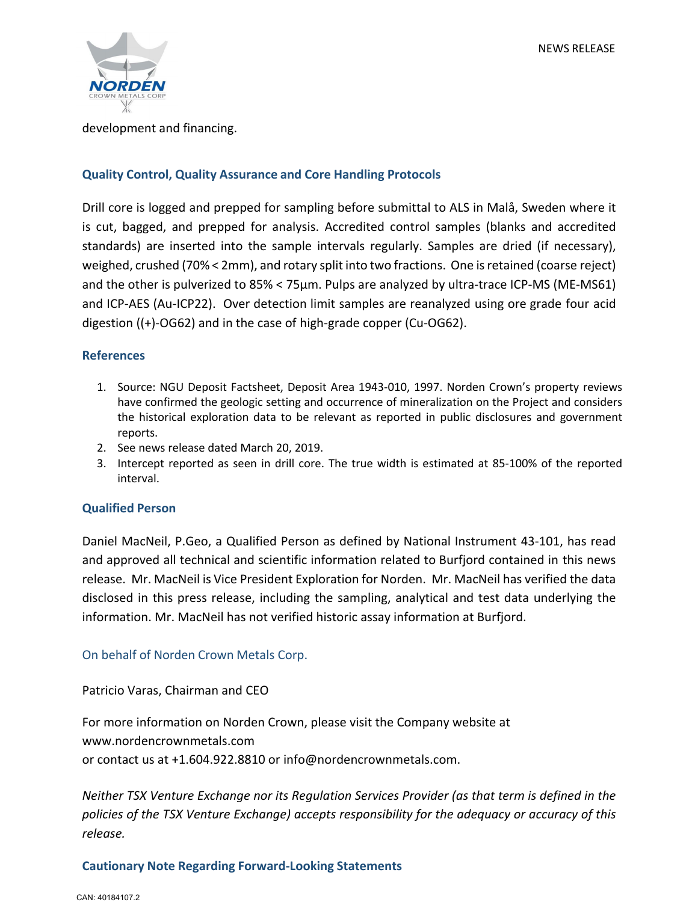

#### development and financing.

## **Quality Control, Quality Assurance and Core Handling Protocols**

Drill core is logged and prepped for sampling before submittal to ALS in Malå, Sweden where it is cut, bagged, and prepped for analysis. Accredited control samples (blanks and accredited standards) are inserted into the sample intervals regularly. Samples are dried (if necessary), weighed, crushed (70% < 2mm), and rotary split into two fractions. One isretained (coarse reject) and the other is pulverized to 85% < 75µm. Pulps are analyzed by ultra-trace ICP-MS (ME-MS61) and ICP-AES (Au-ICP22). Over detection limit samples are reanalyzed using ore grade four acid digestion ((+)-OG62) and in the case of high-grade copper (Cu-OG62).

## **References**

- 1. Source: NGU Deposit Factsheet, Deposit Area 1943-010, 1997. Norden Crown's property reviews have confirmed the geologic setting and occurrence of mineralization on the Project and considers the historical exploration data to be relevant as reported in public disclosures and government reports.
- 2. See news release dated March 20, 2019.
- 3. Intercept reported as seen in drill core. The true width is estimated at 85-100% of the reported interval.

#### **Qualified Person**

Daniel MacNeil, P.Geo, a Qualified Person as defined by National Instrument 43-101, has read and approved all technical and scientific information related to Burfjord contained in this news release. Mr. MacNeil is Vice President Exploration for Norden. Mr. MacNeil has verified the data disclosed in this press release, including the sampling, analytical and test data underlying the information. Mr. MacNeil has not verified historic assay information at Burfjord.

## On behalf of Norden Crown Metals Corp.

Patricio Varas, Chairman and CEO

For more information on Norden Crown, please visit the Company website at www.nordencrownmetals.com or contact us at +1.604.922.8810 or info@nordencrownmetals.com.

*Neither TSX Venture Exchange nor its Regulation Services Provider (as that term is defined in the policies of the TSX Venture Exchange) accepts responsibility for the adequacy or accuracy of this release.*

## **Cautionary Note Regarding Forward-Looking Statements**